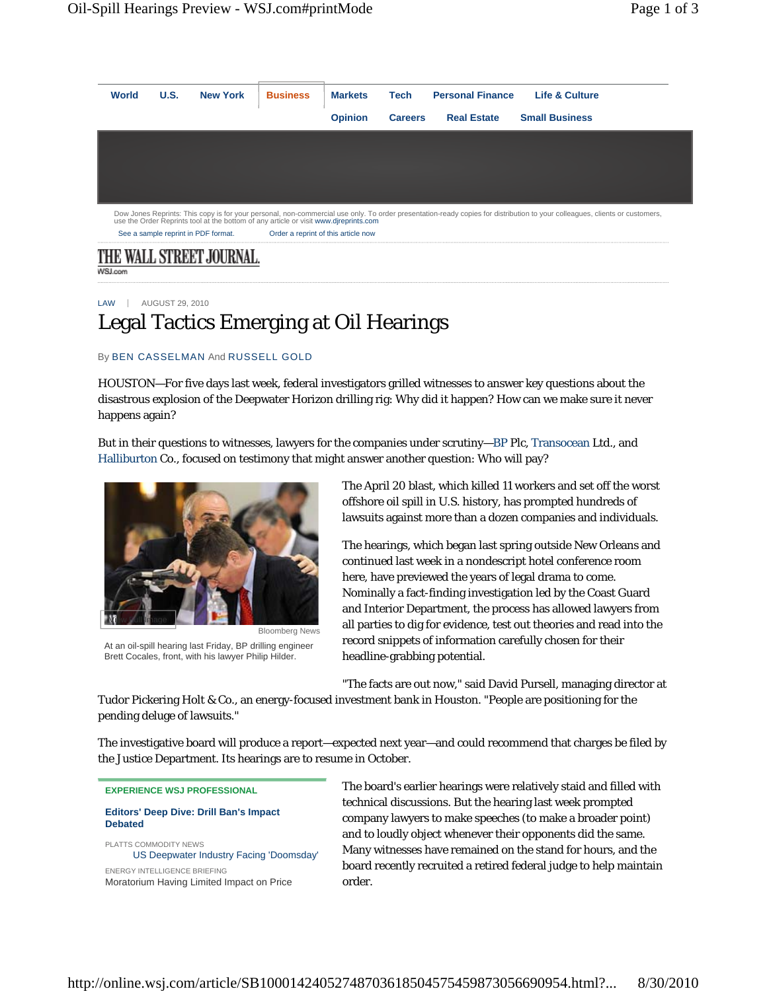| <b>World</b> | U.S. | <b>New York</b>                                                                      | <b>Business</b> | <b>Markets</b> | <b>Tech</b>    | <b>Personal Finance</b> | <b>Life &amp; Culture</b>                                                                                                                                                  |
|--------------|------|--------------------------------------------------------------------------------------|-----------------|----------------|----------------|-------------------------|----------------------------------------------------------------------------------------------------------------------------------------------------------------------------|
|              |      |                                                                                      |                 | <b>Opinion</b> | <b>Careers</b> | <b>Real Estate</b>      | <b>Small Business</b>                                                                                                                                                      |
|              |      |                                                                                      |                 |                |                |                         |                                                                                                                                                                            |
|              |      |                                                                                      |                 |                |                |                         |                                                                                                                                                                            |
|              |      |                                                                                      |                 |                |                |                         |                                                                                                                                                                            |
|              |      |                                                                                      |                 |                |                |                         |                                                                                                                                                                            |
|              |      |                                                                                      |                 |                |                |                         |                                                                                                                                                                            |
|              |      | use the Order Reprints tool at the bottom of any article or visit www.direprints.com |                 |                |                |                         | Dow Jones Reprints: This copy is for your personal, non-commercial use only. To order presentation-ready copies for distribution to your colleagues, clients or customers, |

**WSJ.com** 

LAW | AUGUST 29, 2010

# Legal Tactics Emerging at Oil Hearings

### By BEN CASSELMAN And RUSSELL GOLD

HOUSTON—For five days last week, federal investigators grilled witnesses to answer key questions about the disastrous explosion of the Deepwater Horizon drilling rig: Why did it happen? How can we make sure it never happens again?

But in their questions to witnesses, lawyers for the companies under scrutiny—BP Plc, Transocean Ltd., and Halliburton Co., focused on testimony that might answer another question: Who will pay?



Bloomberg News At an oil-spill hearing last Friday, BP drilling engineer Brett Cocales, front, with his lawyer Philip Hilder.

The April 20 blast, which killed 11 workers and set off the worst offshore oil spill in U.S. history, has prompted hundreds of lawsuits against more than a dozen companies and individuals.

The hearings, which began last spring outside New Orleans and continued last week in a nondescript hotel conference room here, have previewed the years of legal drama to come. Nominally a fact-finding investigation led by the Coast Guard and Interior Department, the process has allowed lawyers from all parties to dig for evidence, test out theories and read into the record snippets of information carefully chosen for their headline-grabbing potential.

"The facts are out now," said David Pursell, managing director at

Tudor Pickering Holt & Co., an energy-focused investment bank in Houston. "People are positioning for the pending deluge of lawsuits."

The investigative board will produce a report—expected next year—and could recommend that charges be filed by the Justice Department. Its hearings are to resume in October.

## **EXPERIENCE WSJ PROFESSIONAL**

#### **Editors' Deep Dive: Drill Ban's Impact Debated**

PLATTS COMMODITY NEWS US Deepwater Industry Facing 'Doomsday' ENERGY INTELLIGENCE BRIEFING Moratorium Having Limited Impact on Price

The board's earlier hearings were relatively staid and filled with technical discussions. But the hearing last week prompted company lawyers to make speeches (to make a broader point) and to loudly object whenever their opponents did the same. Many witnesses have remained on the stand for hours, and the board recently recruited a retired federal judge to help maintain order.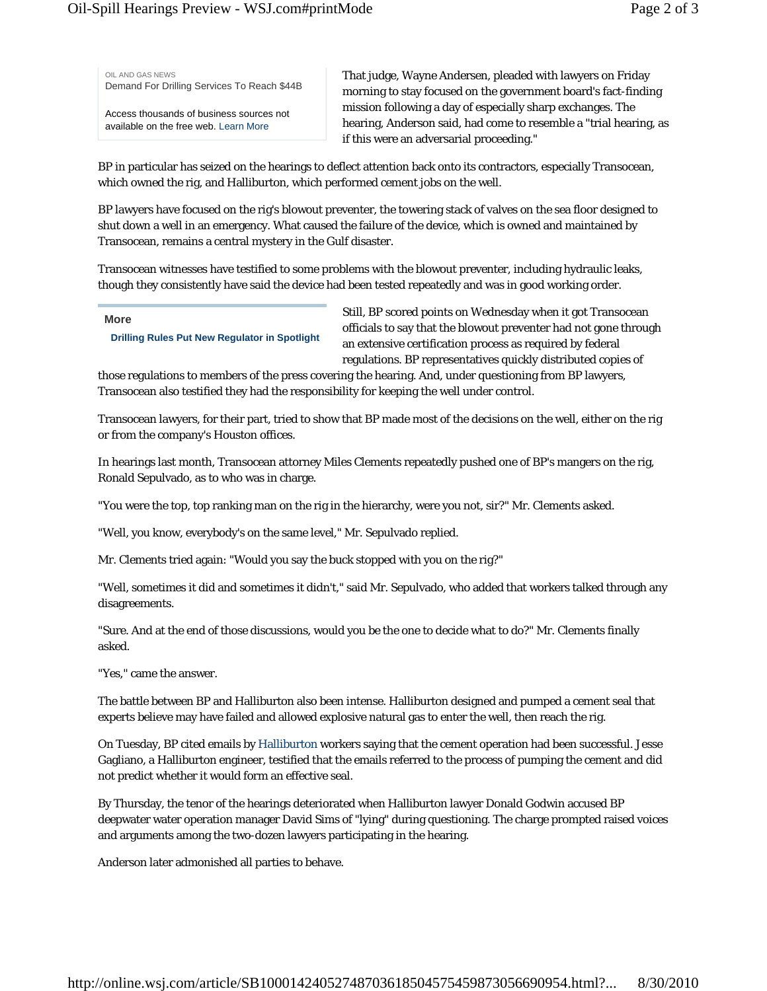OIL AND GAS NEWS Demand For Drilling Services To Reach \$44B

Access thousands of business sources not available on the free web. Learn More

That judge, Wayne Andersen, pleaded with lawyers on Friday morning to stay focused on the government board's fact-finding mission following a day of especially sharp exchanges. The hearing, Anderson said, had come to resemble a "trial hearing, as if this were an adversarial proceeding."

BP in particular has seized on the hearings to deflect attention back onto its contractors, especially Transocean, which owned the rig, and Halliburton, which performed cement jobs on the well.

BP lawyers have focused on the rig's blowout preventer, the towering stack of valves on the sea floor designed to shut down a well in an emergency. What caused the failure of the device, which is owned and maintained by Transocean, remains a central mystery in the Gulf disaster.

Transocean witnesses have testified to some problems with the blowout preventer, including hydraulic leaks, though they consistently have said the device had been tested repeatedly and was in good working order.

#### **More**

**Drilling Rules Put New Regulator in Spotlight**

Still, BP scored points on Wednesday when it got Transocean officials to say that the blowout preventer had not gone through an extensive certification process as required by federal regulations. BP representatives quickly distributed copies of

those regulations to members of the press covering the hearing. And, under questioning from BP lawyers, Transocean also testified they had the responsibility for keeping the well under control.

Transocean lawyers, for their part, tried to show that BP made most of the decisions on the well, either on the rig or from the company's Houston offices.

In hearings last month, Transocean attorney Miles Clements repeatedly pushed one of BP's mangers on the rig, Ronald Sepulvado, as to who was in charge.

"You were the top, top ranking man on the rig in the hierarchy, were you not, sir?" Mr. Clements asked.

"Well, you know, everybody's on the same level," Mr. Sepulvado replied.

Mr. Clements tried again: "Would you say the buck stopped with you on the rig?"

"Well, sometimes it did and sometimes it didn't," said Mr. Sepulvado, who added that workers talked through any disagreements.

"Sure. And at the end of those discussions, would you be the one to decide what to do?" Mr. Clements finally asked.

"Yes," came the answer.

The battle between BP and Halliburton also been intense. Halliburton designed and pumped a cement seal that experts believe may have failed and allowed explosive natural gas to enter the well, then reach the rig.

On Tuesday, BP cited emails by Halliburton workers saying that the cement operation had been successful. Jesse Gagliano, a Halliburton engineer, testified that the emails referred to the process of pumping the cement and did not predict whether it would form an effective seal.

By Thursday, the tenor of the hearings deteriorated when Halliburton lawyer Donald Godwin accused BP deepwater water operation manager David Sims of "lying" during questioning. The charge prompted raised voices and arguments among the two-dozen lawyers participating in the hearing.

Anderson later admonished all parties to behave.